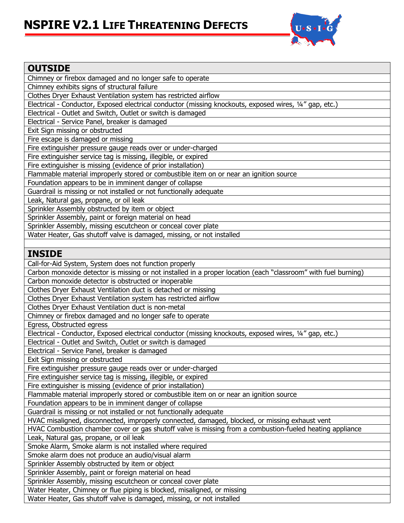## **NSPIRE V2.1 LIFE THREATENING DEFECTS**



| <b>OUTSIDE</b>                                                                                                 |
|----------------------------------------------------------------------------------------------------------------|
| Chimney or firebox damaged and no longer safe to operate                                                       |
| Chimney exhibits signs of structural failure                                                                   |
| Clothes Dryer Exhaust Ventilation system has restricted airflow                                                |
| Electrical - Conductor, Exposed electrical conductor (missing knockouts, exposed wires, 1/4" gap, etc.)        |
| Electrical - Outlet and Switch, Outlet or switch is damaged                                                    |
| Electrical - Service Panel, breaker is damaged                                                                 |
| Exit Sign missing or obstructed                                                                                |
| Fire escape is damaged or missing                                                                              |
| Fire extinguisher pressure gauge reads over or under-charged                                                   |
| Fire extinguisher service tag is missing, illegible, or expired                                                |
| Fire extinguisher is missing (evidence of prior installation)                                                  |
| Flammable material improperly stored or combustible item on or near an ignition source                         |
| Foundation appears to be in imminent danger of collapse                                                        |
| Guardrail is missing or not installed or not functionally adequate                                             |
| Leak, Natural gas, propane, or oil leak                                                                        |
| Sprinkler Assembly obstructed by item or object                                                                |
| Sprinkler Assembly, paint or foreign material on head                                                          |
| Sprinkler Assembly, missing escutcheon or conceal cover plate                                                  |
| Water Heater, Gas shutoff valve is damaged, missing, or not installed                                          |
|                                                                                                                |
| <b>INSIDE</b>                                                                                                  |
| Call-for-Aid System, System does not function properly                                                         |
| Carbon monoxide detector is missing or not installed in a proper location (each "classroom" with fuel burning) |
| Carbon monoxide detector is obstructed or inoperable                                                           |
| Clothes Dryer Exhaust Ventilation duct is detached or missing                                                  |
| Clothes Dryer Exhaust Ventilation system has restricted airflow                                                |
| Clothes Dryer Exhaust Ventilation duct is non-metal                                                            |
| Chimney or firebox damaged and no longer safe to operate                                                       |
| Egress, Obstructed egress                                                                                      |
| Electrical - Conductor, Exposed electrical conductor (missing knockouts, exposed wires, 1/4" gap, etc.)        |
| Electrical - Outlet and Switch, Outlet or switch is damaged                                                    |
| Electrical - Service Panel, breaker is damaged                                                                 |
| Exit Sign missing or obstructed                                                                                |
| Fire extinguisher pressure gauge reads over or under-charged                                                   |
| Fire extinguisher service tag is missing, illegible, or expired                                                |
| Fire extinguisher is missing (evidence of prior installation)                                                  |
| Flammable material improperly stored or combustible item on or near an ignition source                         |
| Foundation appears to be in imminent danger of collapse                                                        |
| Guardrail is missing or not installed or not functionally adequate                                             |
| HVAC misaligned, disconnected, improperly connected, damaged, blocked, or missing exhaust vent                 |
| HVAC Combustion chamber cover or gas shutoff valve is missing from a combustion-fueled heating appliance       |
| Leak, Natural gas, propane, or oil leak                                                                        |
| Smoke Alarm, Smoke alarm is not installed where required                                                       |
| Smoke alarm does not produce an audio/visual alarm                                                             |
| Sprinkler Assembly obstructed by item or object                                                                |
| Sprinkler Assembly, paint or foreign material on head                                                          |
| Sprinkler Assembly, missing escutcheon or conceal cover plate                                                  |
| Water Heater, Chimney or flue piping is blocked, misaligned, or missing                                        |
| Water Heater, Gas shutoff valve is damaged, missing, or not installed                                          |